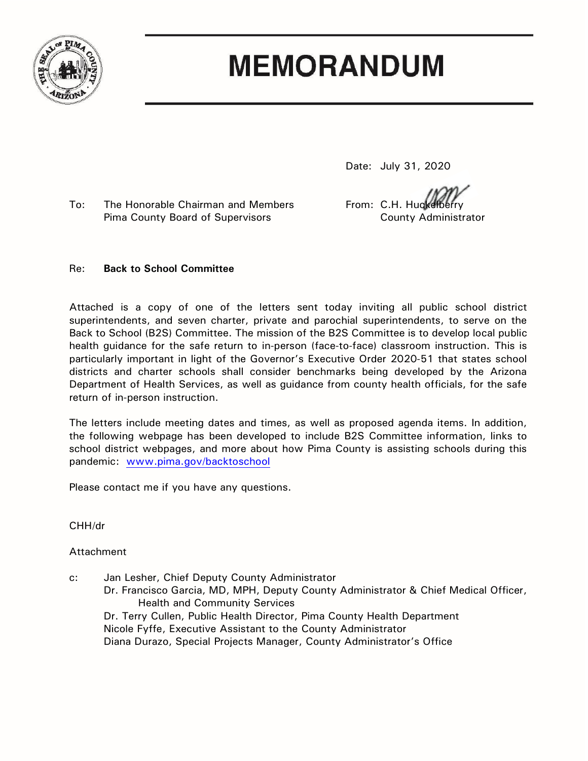

# **MEMORANDUM**

Date: July 31, 2020

To: The Honorable Chairman and Members From: C.H. Huckelberry Pima County Board of Supervisors County Administrator

### Re: **Back to School Committee**

Attached is a copy of one of the letters sent today inviting all public school district superintendents, and seven charter, private and parochial superintendents, to serve on the Back to School (B2S) Committee. The mission of the B2S Committee is to develop local public health guidance for the safe return to in-person (face-to-face) classroom instruction. This is particularly important in light of the Governor's Executive Order 2020-51 that states school districts and charter schools shall consider benchmarks being developed by the Arizona Department of Health Services, as well as guidance from county health officials, for the safe return of in-person instruction.

The letters include meeting dates and times, as well as proposed agenda items. In addition, the following webpage has been developed to include B2S Committee information, links to school district webpages, and more about how Pima County is assisting schools during this pandemic: [www.pima.gov/backtoschool](http://www.pima.gov/backtoschool)

Please contact me if you have any questions.

CHH/dr

## Attachment

c: Jan Lesher, Chief Deputy County Administrator Dr. Francisco Garcia, MD, MPH, Deputy County Administrator & Chief Medical Officer, Health and Community Services Dr. Terry Cullen, Public Health Director, Pima County Health Department Nicole Fyffe, Executive Assistant to the County Administrator Diana Durazo, Special Projects Manager, County Administrator's Office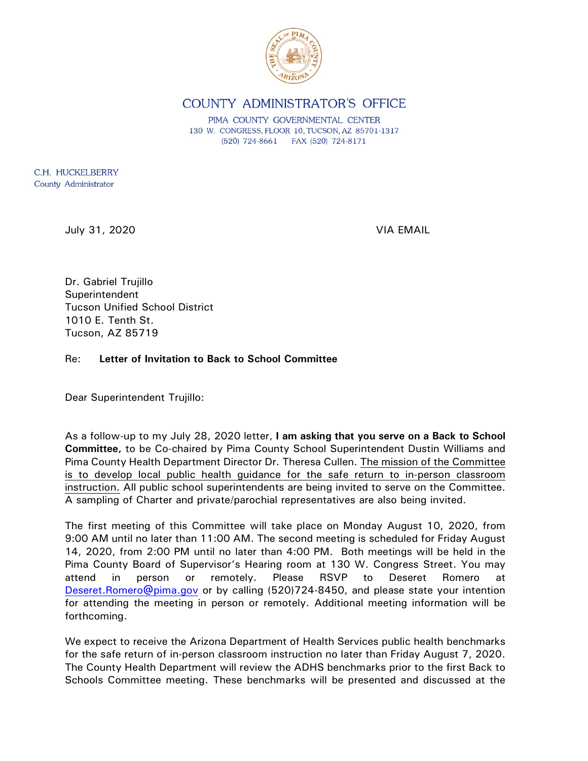

# COUNTY ADMINISTRATOR'S OFFICE

PIMA COUNTY GOVERNMENTAL CENTER 130 W. CONGRESS, FLOOR 10, TUCSON, AZ 85701-1317 (520) 724-8661 FAX (520) 724-8171

C.H. HUCKELBERRY County Administrator

July 31, 2020 VIA EMAIL

Dr. Gabriel Trujillo **Superintendent** Tucson Unified School District 1010 E. Tenth St. Tucson, AZ 85719

#### Re: **Letter of Invitation to Back to School Committee**

Dear Superintendent Trujillo:

As a follow-up to my July 28, 2020 letter, **I am asking that you serve on a Back to School Committee,** to be Co-chaired by Pima County School Superintendent Dustin Williams and Pima County Health Department Director Dr. Theresa Cullen. The mission of the Committee is to develop local public health guidance for the safe return to in-person classroom instruction. All public school superintendents are being invited to serve on the Committee. A sampling of Charter and private/parochial representatives are also being invited.

The first meeting of this Committee will take place on Monday August 10, 2020, from 9:00 AM until no later than 11:00 AM. The second meeting is scheduled for Friday August 14, 2020, from 2:00 PM until no later than 4:00 PM. Both meetings will be held in the Pima County Board of Supervisor's Hearing room at 130 W. Congress Street. You may attend in person or remotely. Please RSVP to Deseret Romero at [Deseret.Romero@pima.gov](mailto:Deseret.Romero@pima.gov) or by calling (520)724-8450, and please state your intention for attending the meeting in person or remotely. Additional meeting information will be forthcoming.

We expect to receive the Arizona Department of Health Services public health benchmarks for the safe return of in-person classroom instruction no later than Friday August 7, 2020. The County Health Department will review the ADHS benchmarks prior to the first Back to Schools Committee meeting. These benchmarks will be presented and discussed at the